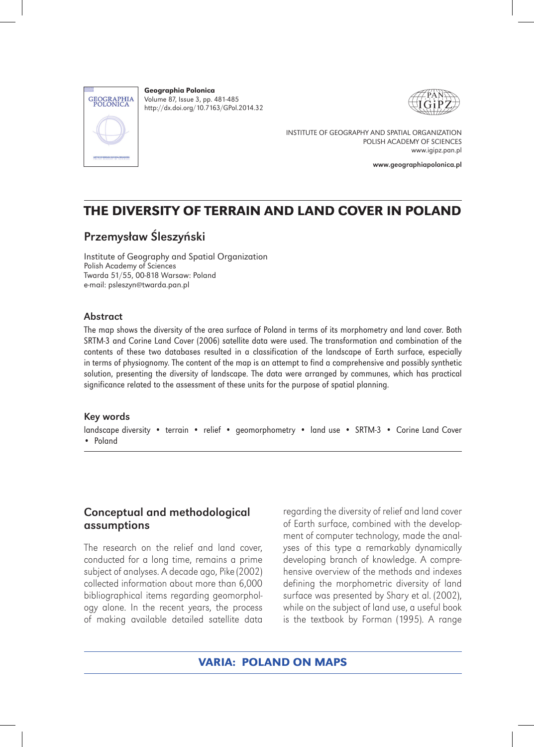

Geographia Polonica Volume 87, Issue 3, pp. 481-485 http://dx.doi.org/10.7163/GPol.2014.32



INSTITUTE OF GEOGRAPHY AND SPATIAL ORGANIZATION POLISH ACADEMY OF SCIENCES www.igipz.pan.pl

www.geographiapolonica.pl

# THE DIVERSITY OF TERRAIN AND LAND COVER IN POLAND

## Przemysław Śleszyński

Institute of Geography and Spatial Organization Polish Academy of Sciences Twarda 51/55, 00-818 Warsaw: Poland e-mail: psleszyn@twarda.pan.pl

#### Abstract

The map shows the diversity of the area surface of Poland in terms of its morphometry and land cover. Both SRTM-3 and Corine Land Cover (2006) satellite data were used. The transformation and combination of the contents of these two databases resulted in a classification of the landscape of Earth surface, especially in terms of physiognomy. The content of the map is an attempt to find a comprehensive and possibly synthetic solution, presenting the diversity of landscape. The data were arranged by communes, which has practical significance related to the assessment of these units for the purpose of spatial planning.

#### Key words

landscape diversity • terrain • relief • geomorphometry • land use • SRTM-3 • Corine Land Cover • Poland

### Conceptual and methodological assumptions

The research on the relief and land cover, conducted for a long time, remains a prime subject of analyses. A decade ago, Pike (2002) collected information about more than 6,000 bibliographical items regarding geomorphology alone. In the recent years, the process of making available detailed satellite data

regarding the diversity of relief and land cover of Earth surface, combined with the development of computer technology, made the analyses of this type a remarkably dynamically developing branch of knowledge. A comprehensive overview of the methods and indexes defining the morphometric diversity of land surface was presented by Shary et al. (2002), while on the subject of land use, a useful book is the textbook by Forman (1995). A range

VARIA: POLAND ON MAPS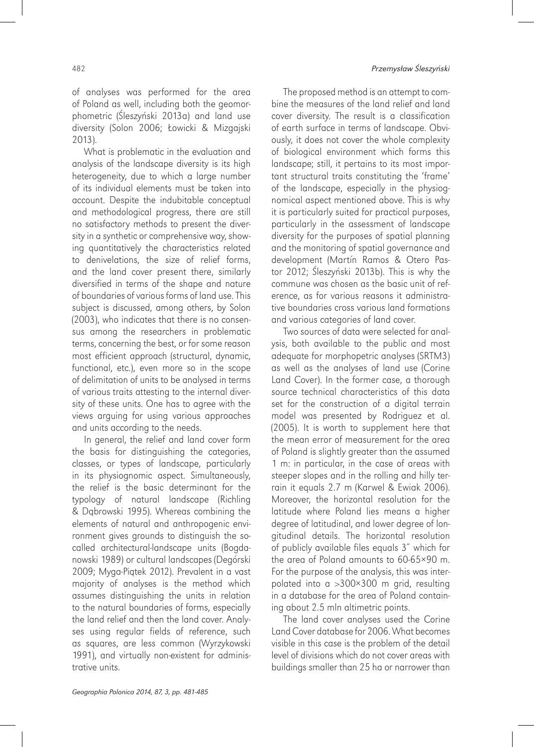### of analyses was performed for the area of Poland as well, including both the geomorphometric (Śleszyński 2013a) and land use diversity (Solon 2006; Łowicki & Mizgajski 2013).

What is problematic in the evaluation and analysis of the landscape diversity is its high heterogeneity, due to which a large number of its individual elements must be taken into account. Despite the indubitable conceptual and methodological progress, there are still no satisfactory methods to present the diversity in a synthetic or comprehensive way, showing quantitatively the characteristics related to denivelations, the size of relief forms, and the land cover present there, similarly diversified in terms of the shape and nature of boundaries of various forms of land use. This subject is discussed, among others, by Solon (2003), who indicates that there is no consensus among the researchers in problematic terms, concerning the best, or for some reason most efficient approach (structural, dynamic, functional, etc.), even more so in the scope of delimitation of units to be analysed in terms of various traits attesting to the internal diversity of these units. One has to agree with the views arguing for using various approaches and units according to the needs.

In general, the relief and land cover form the basis for distinguishing the categories, classes, or types of landscape, particularly in its physiognomic aspect. Simultaneously, the relief is the basic determinant for the typology of natural landscape (Richling & Dąbrowski 1995). Whereas combining the elements of natural and anthropogenic environment gives grounds to distinguish the socalled architectural-landscape units (Bogdanowski 1989) or cultural landscapes (Degórski 2009; Myga-Piątek 2012). Prevalent in a vast majority of analyses is the method which assumes distinguishing the units in relation to the natural boundaries of forms, especially the land relief and then the land cover. Analyses using regular fields of reference, such as squares, are less common (Wyrzykowski 1991), and virtually non-existent for administrative units.

The proposed method is an attempt to combine the measures of the land relief and land cover diversity. The result is a classification of earth surface in terms of landscape. Obviously, it does not cover the whole complexity of biological environment which forms this landscape; still, it pertains to its most important structural traits constituting the 'frame' of the landscape, especially in the physiognomical aspect mentioned above. This is why it is particularly suited for practical purposes, particularly in the assessment of landscape diversity for the purposes of spatial planning and the monitoring of spatial governance and development (Martín Ramos & Otero Pastor 2012; Śleszyński 2013b). This is why the commune was chosen as the basic unit of reference, as for various reasons it administrative boundaries cross various land formations and various categories of land cover.

Two sources of data were selected for analysis, both available to the public and most adequate for morphopetric analyses (SRTM3) as well as the analyses of land use (Corine Land Cover). In the former case, a thorough source technical characteristics of this data set for the construction of a digital terrain model was presented by Rodriguez et al. (2005). It is worth to supplement here that the mean error of measurement for the area of Poland is slightly greater than the assumed 1 m: in particular, in the case of areas with steeper slopes and in the rolling and hilly terrain it equals 2.7 m (Karwel & Ewiak 2006). Moreover, the horizontal resolution for the latitude where Poland lies means a higher degree of latitudinal, and lower degree of longitudinal details. The horizontal resolution of publicly available files equals 3˝ which for the area of Poland amounts to 60-65×90 m. For the purpose of the analysis, this was interpolated into a >300×300 m grid, resulting in a database for the area of Poland containing about 2.5 mln altimetric points.

The land cover analyses used the Corine Land Cover database for 2006. What becomes visible in this case is the problem of the detail level of divisions which do not cover areas with buildings smaller than 25 ha or narrower than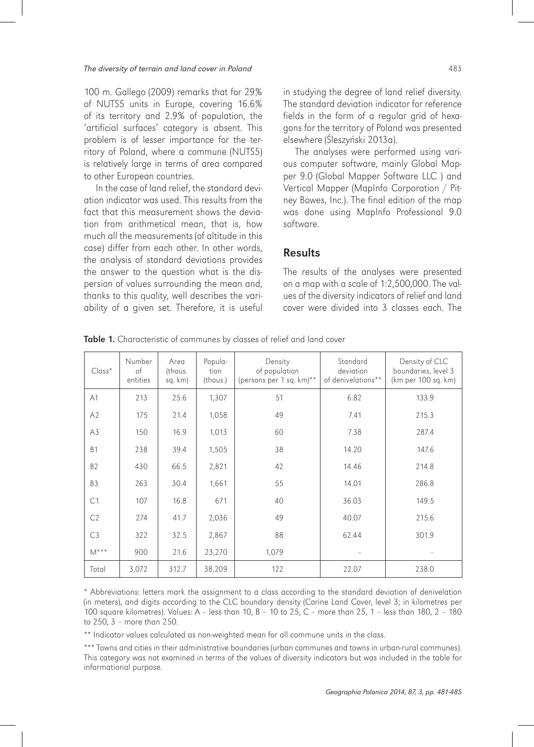100 m. Gallego (2009) remarks that for 29% of NUTS5 units in Europe, covering 16.6% of its territory and 2.9% of population, the 'artificial surfaces' category is absent. This problem is of lesser importance for the territory of Poland, where a commune (NUTS5) is relatively large in terms of area compared to other European countries.

In the case of land relief, the standard deviation indicator was used. This results from the fact that this measurement shows the deviation from arithmetical mean, that is, how much all the measurements (of altitude in this case) differ from each other. In other words, the analysis of standard deviations provides the answer to the question what is the dispersion of values surrounding the mean and, thanks to this quality, well describes the variability of a given set. Therefore, it is useful in studying the degree of land relief diversity. The standard deviation indicator for reference fields in the form of a regular grid of hexagons for the territory of Poland was presented elsewhere (Śleszyński 2013a).

The analyses were performed using various computer software, mainly Global Mapper 9.0 (Global Mapper Software LLC ) and Vertical Mapper (MapInfo Corporation / Pitney Bowes, Inc.). The final edition of the map was done using MapInfo Professional 9.0 software.

### Results

The results of the analyses were presented on a map with a scale of 1:2,500,000. The values of the diversity indicators of relief and land cover were divided into 3 classes each. The

| $Class^*$      | Number<br>of<br>entities | Area<br>(thous.<br>sq. km) | Popula-<br>tion<br>(thous.) | Density<br>of population<br>(persons per 1 sq. km)** | Standard<br>deviation<br>of denivelations** | Density of CLC<br>boundaries, level 3<br>(km per 100 sq. km) |
|----------------|--------------------------|----------------------------|-----------------------------|------------------------------------------------------|---------------------------------------------|--------------------------------------------------------------|
| A1             | 213                      | 25.6                       | 1,307                       | 51                                                   | 6.82                                        | 133.9                                                        |
| A <sub>2</sub> | 175                      | 21.4                       | 1,058                       | 49                                                   | 7.41                                        | 215.3                                                        |
| A3             | 150                      | 16.9                       | 1,013                       | 60                                                   | 7.38                                        | 287.4                                                        |
| <b>B1</b>      | 238                      | 39.4                       | 1,505                       | 38                                                   | 14.20                                       | 147.6                                                        |
| <b>B2</b>      | 430                      | 66.5                       | 2,821                       | 42                                                   | 14.46                                       | 214.8                                                        |
| B <sub>3</sub> | 263                      | 30.4                       | 1,661                       | 55                                                   | 14.01                                       | 286.8                                                        |
| C1             | 107                      | 16.8                       | 671                         | 40                                                   | 36.03                                       | 149.5                                                        |
| C2             | 274                      | 41.7                       | 2,036                       | 49                                                   | 40.07                                       | 215.6                                                        |
| C3             | 322                      | 32.5                       | 2,867                       | 88                                                   | 62.44                                       | 301.9                                                        |
| $M***$         | 900                      | 21.6                       | 23,270                      | 1,079                                                |                                             |                                                              |
| Total          | 3,072                    | 312.7                      | 38,209                      | 122                                                  | 22.07                                       | 238.0                                                        |

Table 1. Characteristic of communes by classes of relief and land cover

\* Abbreviations: letters mark the assignment to a class according to the standard deviation of denivelation (in meters), and digits according to the CLC boundary density (Corine Land Cover, level 3; in kilometres per 100 square kilometres). Values: A – less than 10, B – 10 to 25, C – more than 25, 1 – less than 180, 2 – 180 to 250, 3 – more than 250.

\*\* Indicator values calculated as non-weighted mean for all commune units in the class.

\*\*\* Towns and cities in their administrative boundaries (urban communes and towns in urban-rural communes). This category was not examined in terms of the values of diversity indicators but was included in the table for informational purpose.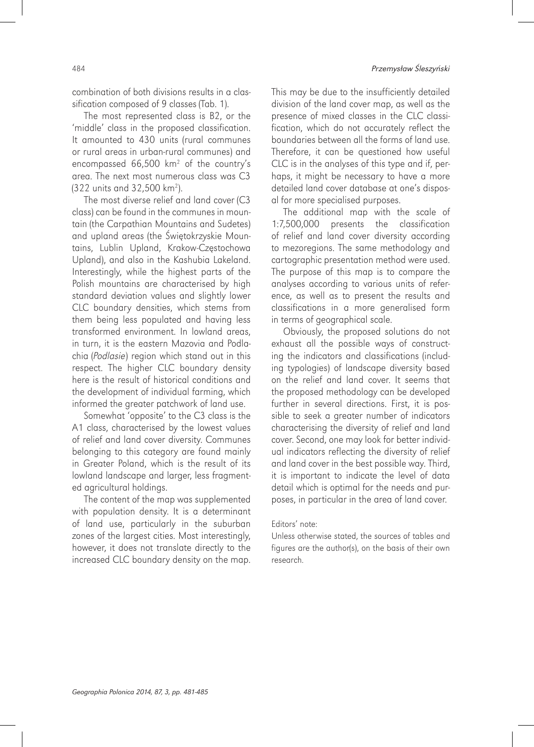combination of both divisions results in a classification composed of 9 classes (Tab. 1).

The most represented class is B2, or the 'middle' class in the proposed classification. It amounted to 430 units (rural communes or rural areas in urban-rural communes) and encompassed  $66,500 \text{ km}^2$  of the country's area. The next most numerous class was C3 (322 units and 32,500 km<sup>2</sup> ).

The most diverse relief and land cover (C3 class) can be found in the communes in mountain (the Carpathian Mountains and Sudetes) and upland areas (the Świętokrzyskie Mountains, Lublin Upland, Krakow-Częstochowa Upland), and also in the Kashubia Lakeland. Interestingly, while the highest parts of the Polish mountains are characterised by high standard deviation values and slightly lower CLC boundary densities, which stems from them being less populated and having less transformed environment. In lowland areas, in turn, it is the eastern Mazovia and Podlachia (Podlasie) region which stand out in this respect. The higher CLC boundary density here is the result of historical conditions and the development of individual farming, which informed the greater patchwork of land use.

Somewhat 'opposite' to the C3 class is the A1 class, characterised by the lowest values of relief and land cover diversity. Communes belonging to this category are found mainly in Greater Poland, which is the result of its lowland landscape and larger, less fragmented agricultural holdings.

The content of the map was supplemented with population density. It is a determinant of land use, particularly in the suburban zones of the largest cities. Most interestingly, however, it does not translate directly to the increased CLC boundary density on the map. This may be due to the insufficiently detailed division of the land cover map, as well as the presence of mixed classes in the CLC classification, which do not accurately reflect the boundaries between all the forms of land use. Therefore, it can be questioned how useful CLC is in the analyses of this type and if, perhaps, it might be necessary to have a more detailed land cover database at one's disposal for more specialised purposes.

The additional map with the scale of 1:7,500,000 presents the classification of relief and land cover diversity according to mezoregions. The same methodology and cartographic presentation method were used. The purpose of this map is to compare the analyses according to various units of reference, as well as to present the results and classifications in a more generalised form in terms of geographical scale.

Obviously, the proposed solutions do not exhaust all the possible ways of constructing the indicators and classifications (including typologies) of landscape diversity based on the relief and land cover. It seems that the proposed methodology can be developed further in several directions. First, it is possible to seek a greater number of indicators characterising the diversity of relief and land cover. Second, one may look for better individual indicators reflecting the diversity of relief and land cover in the best possible way. Third, it is important to indicate the level of data detail which is optimal for the needs and purposes, in particular in the area of land cover.

#### Editors' note:

Unless otherwise stated, the sources of tables and figures are the author(s), on the basis of their own research.